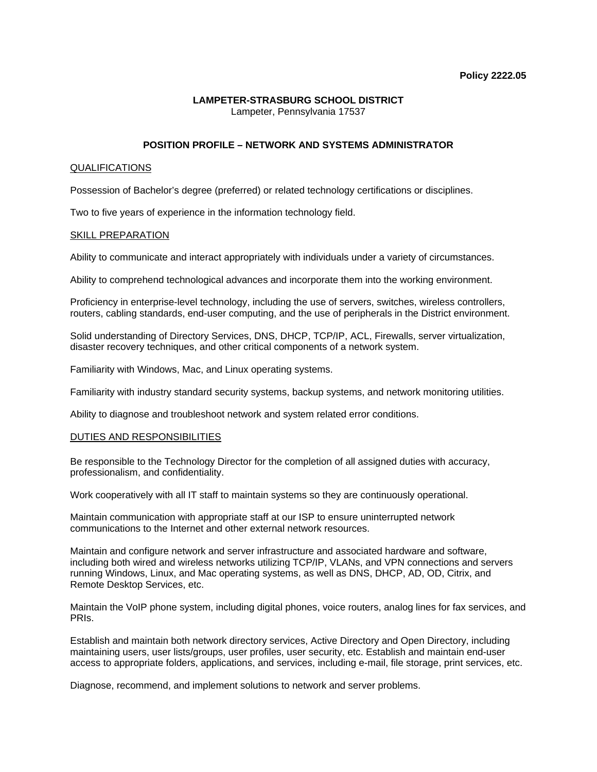#### **LAMPETER-STRASBURG SCHOOL DISTRICT**  Lampeter, Pennsylvania 17537

# **POSITION PROFILE – NETWORK AND SYSTEMS ADMINISTRATOR**

## QUALIFICATIONS

Possession of Bachelor's degree (preferred) or related technology certifications or disciplines.

Two to five years of experience in the information technology field.

### SKILL PREPARATION

Ability to communicate and interact appropriately with individuals under a variety of circumstances.

Ability to comprehend technological advances and incorporate them into the working environment.

Proficiency in enterprise-level technology, including the use of servers, switches, wireless controllers, routers, cabling standards, end-user computing, and the use of peripherals in the District environment.

Solid understanding of Directory Services, DNS, DHCP, TCP/IP, ACL, Firewalls, server virtualization, disaster recovery techniques, and other critical components of a network system.

Familiarity with Windows, Mac, and Linux operating systems.

Familiarity with industry standard security systems, backup systems, and network monitoring utilities.

Ability to diagnose and troubleshoot network and system related error conditions.

#### DUTIES AND RESPONSIBILITIES

Be responsible to the Technology Director for the completion of all assigned duties with accuracy, professionalism, and confidentiality.

Work cooperatively with all IT staff to maintain systems so they are continuously operational.

Maintain communication with appropriate staff at our ISP to ensure uninterrupted network communications to the Internet and other external network resources.

Maintain and configure network and server infrastructure and associated hardware and software, including both wired and wireless networks utilizing TCP/IP, VLANs, and VPN connections and servers running Windows, Linux, and Mac operating systems, as well as DNS, DHCP, AD, OD, Citrix, and Remote Desktop Services, etc.

Maintain the VoIP phone system, including digital phones, voice routers, analog lines for fax services, and PRIs.

Establish and maintain both network directory services, Active Directory and Open Directory, including maintaining users, user lists/groups, user profiles, user security, etc. Establish and maintain end-user access to appropriate folders, applications, and services, including e-mail, file storage, print services, etc.

Diagnose, recommend, and implement solutions to network and server problems.